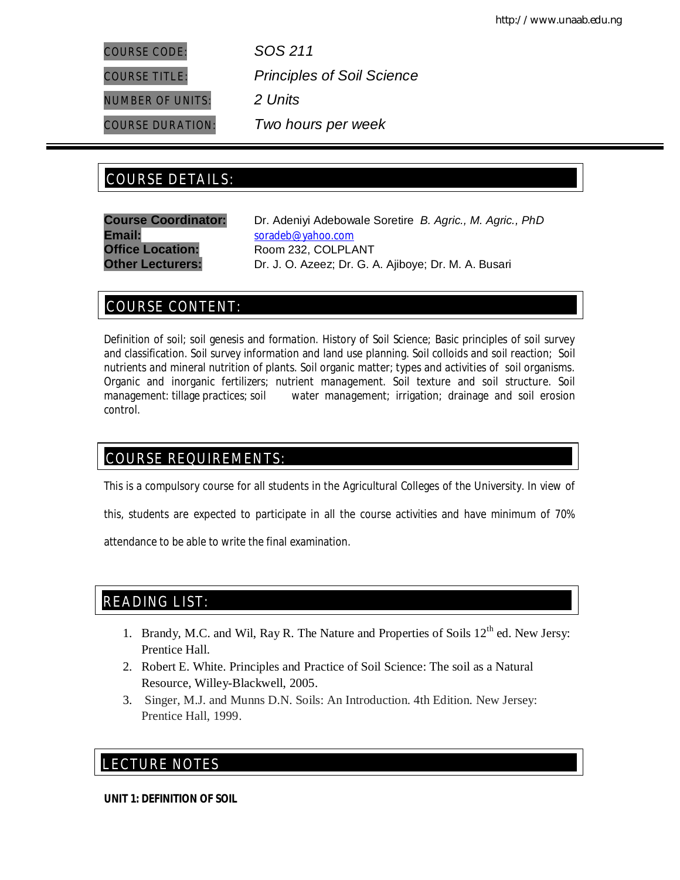COURSE TITLE: *Principles of Soil Science*

COURSE CODE: *SOS 211*

NUMBER OF UNITS: *2 Units*

COURSE DURATION: *Two hours per week*

# COURSE DETAILS: COURSE DETAILS:

**Email:** soradeb@yahoo.com **Office Location:** Room 232, COLPLANT

**Course Coordinator:** Dr. Adeniyi Adebowale Soretire *B. Agric., M. Agric., PhD* **Other Lecturers:** Dr. J. O. Azeez; Dr. G. A. Ajiboye; Dr. M. A. Busari

# COURSE CONTENT:

Definition of soil; soil genesis and formation. History of Soil Science; Basic principles of soil survey and classification. Soil survey information and land use planning. Soil colloids and soil reaction; Soil nutrients and mineral nutrition of plants. Soil organic matter; types and activities of soil organisms. Organic and inorganic fertilizers; nutrient management. Soil texture and soil structure. Soil management: tillage practices; soil water management; irrigation; drainage and soil erosion control.

# COURSE REQUIREMENTS:

This is a compulsory course for all students in the Agricultural Colleges of the University. In view of

this, students are expected to participate in all the course activities and have minimum of 70%

attendance to be able to write the final examination.

# READING LIST:

- 1. Brandy, M.C. and Wil, Ray R. The Nature and Properties of Soils  $12<sup>th</sup>$  ed. New Jersy: Prentice Hall.
- 2. Robert E. White. Principles and Practice of Soil Science: The soil as a Natural Resource, Willey-Blackwell, 2005.
- 3. Singer, M.J. and Munns D.N. Soils: An Introduction. 4th Edition. New Jersey: Prentice Hall, 1999.

# E LECTURE NOTES

**UNIT 1: DEFINITION OF SOIL**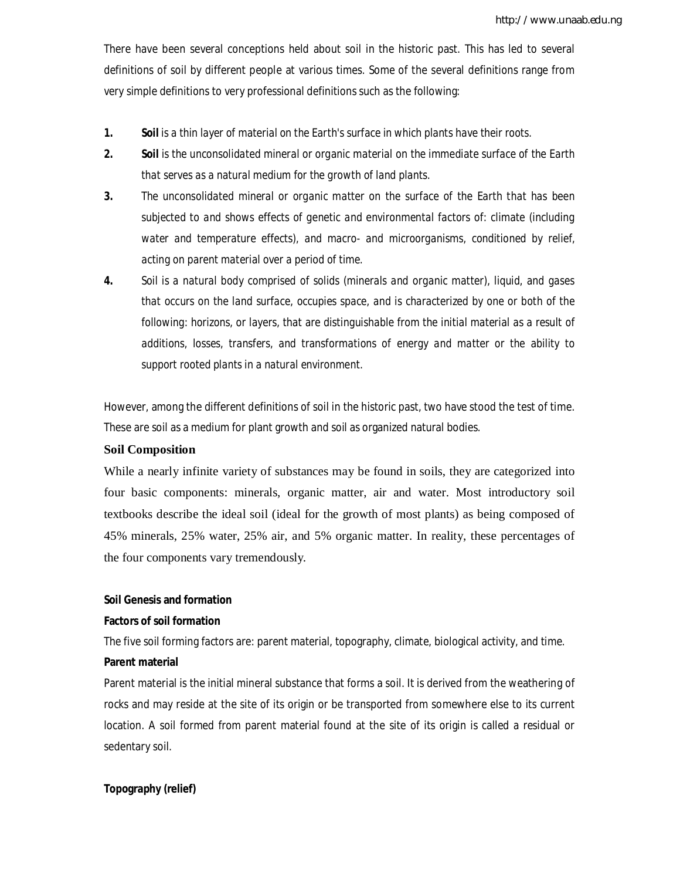There have been several conceptions held about soil in the historic past. This has led to several definitions of soil by different people at various times. Some of the several definitions range from very simple definitions to very professional definitions such as the following:

- **1.** *Soil is a thin layer of material on the Earth's surface in which plants have their roots.*
- **2.** *Soil is the unconsolidated mineral or organic material on the immediate surface of the Earth that serves as a natural medium for the growth of land plants.*
- **3.** *The unconsolidated mineral or organic matter on the surface of the Earth that has been subjected to and shows effects of genetic and environmental factors of: climate (including water and temperature effects), and macro- and microorganisms, conditioned by relief, acting on parent material over a period of time.*
- **4.** *Soil is a natural body comprised of solids (minerals and organic matter), liquid, and gases that occurs on the land surface, occupies space, and is characterized by one or both of the following: horizons, or layers, that are distinguishable from the initial material as a result of additions, losses, transfers, and transformations of energy and matter or the ability to support rooted plants in a natural environment.*

However, among the different definitions of soil in the historic past, two have stood the test of time. These are soil as a medium for plant growth and soil as organized natural bodies.

#### **Soil Composition**

While a nearly infinite variety of substances may be found in soils, they are categorized into four basic components: minerals, organic matter, air and water. Most introductory soil textbooks describe the ideal soil (ideal for the growth of most plants) as being composed of 45% minerals, 25% water, 25% air, and 5% organic matter. In reality, these percentages of the four components vary tremendously.

#### **Soil Genesis and formation**

#### **Factors of soil formation**

The five soil forming factors are: parent material, topography, climate, biological activity, and time.

#### **Parent material**

Parent material is the initial mineral substance that forms a soil. It is derived from the weathering of rocks and may reside at the site of its origin or be transported from somewhere else to its current location. A soil formed from parent material found at the site of its origin is called a residual or sedentary soil.

#### **Topography (relief)**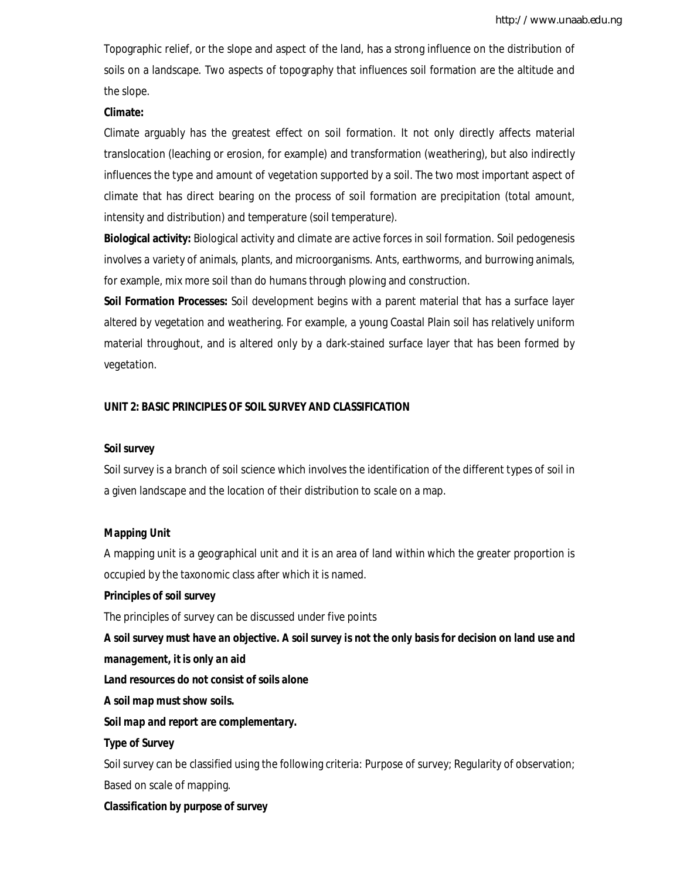Topographic relief, or the slope and aspect of the land, has a strong influence on the distribution of soils on a landscape. Two aspects of topography that influences soil formation are the altitude and the slope.

#### **Climate:**

Climate arguably has the greatest effect on soil formation. It not only directly affects material translocation (leaching or erosion, for example) and transformation (weathering), but also indirectly influences the type and amount of vegetation supported by a soil. The two most important aspect of climate that has direct bearing on the process of soil formation are precipitation (total amount, intensity and distribution) and temperature (soil temperature).

**Biological activity:** Biological activity and climate are active forces in soil formation. Soil pedogenesis involves a variety of animals, plants, and microorganisms. Ants, earthworms, and burrowing animals, for example, mix more soil than do humans through plowing and construction.

**Soil Formation Processes:** Soil development begins with a parent material that has a surface layer altered by vegetation and weathering. For example, a young Coastal Plain soil has relatively uniform material throughout, and is altered only by a dark-stained surface layer that has been formed by vegetation.

#### **UNIT 2: BASIC PRINCIPLES OF SOIL SURVEY AND CLASSIFICATION**

#### *Soil survey*

Soil survey is a branch of soil science which involves the identification of the different types of soil in a given landscape and the location of their distribution to scale on a map.

#### *Mapping Unit*

A mapping unit is a geographical unit and it is an area of land within which the greater proportion is occupied by the taxonomic class after which it is named.

#### **Principles of soil survey**

The principles of survey can be discussed under five points

*A soil survey must have an objective. A soil survey is not the only basis for decision on land use and management, it is only an aid*

*Land resources do not consist of soils alone*

#### *A soil map must show soils.*

*Soil map and report are complementary.* 

#### **Type of Survey**

Soil survey can be classified using the following criteria: Purpose of survey; Regularity of observation; Based on scale of mapping.

#### *Classification by purpose of survey*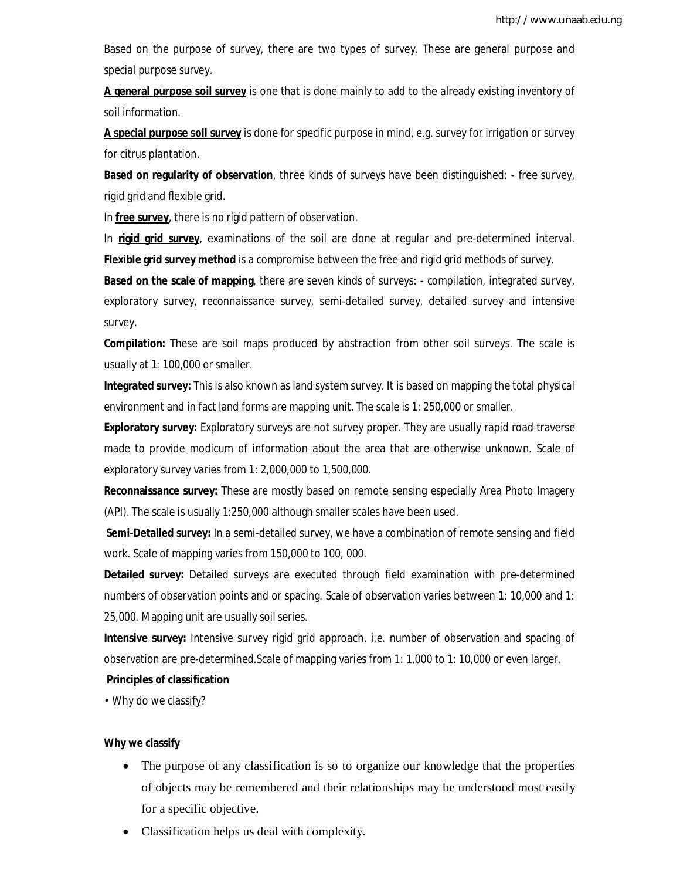Based on the purpose of survey, there are two types of survey. These are general purpose and special purpose survey.

**A general purpose soil survey** is one that is done mainly to add to the already existing inventory of soil information.

**A special purpose soil survey** is done for specific purpose in mind, e.g. survey for irrigation or survey for citrus plantation.

**Based on regularity of observation**, three kinds of surveys have been distinguished: - free survey, rigid grid and flexible grid.

In **free survey**, there is no rigid pattern of observation.

In **rigid grid survey**, examinations of the soil are done at regular and pre-determined interval. **Flexible grid survey method** is a compromise between the free and rigid grid methods of survey.

**Based on the scale of mapping**, there are seven kinds of surveys: - compilation, integrated survey, exploratory survey, reconnaissance survey, semi-detailed survey, detailed survey and intensive survey.

**Compilation:** These are soil maps produced by abstraction from other soil surveys. The scale is usually at 1: 100,000 or smaller.

**Integrated survey:** This is also known as land system survey. It is based on mapping the total physical environment and in fact land forms are mapping unit. The scale is 1: 250,000 or smaller.

**Exploratory survey:** Exploratory surveys are not survey proper. They are usually rapid road traverse made to provide modicum of information about the area that are otherwise unknown. Scale of exploratory survey varies from 1: 2,000,000 to 1,500,000.

**Reconnaissance survey:** These are mostly based on remote sensing especially Area Photo Imagery (API). The scale is usually 1:250,000 although smaller scales have been used.

**Semi-Detailed survey:** In a semi-detailed survey, we have a combination of remote sensing and field work. Scale of mapping varies from 150,000 to 100, 000.

**Detailed survey:** Detailed surveys are executed through field examination with pre-determined numbers of observation points and or spacing. Scale of observation varies between 1: 10,000 and 1: 25,000. Mapping unit are usually soil series.

**Intensive survey:** Intensive survey rigid grid approach, i.e. number of observation and spacing of observation are pre-determined.Scale of mapping varies from 1: 1,000 to 1: 10,000 or even larger.

## **Principles of classification**

*•* Why do we classify?

#### **Why we classify**

- The purpose of any classification is so to organize our knowledge that the properties of objects may be remembered and their relationships may be understood most easily for a specific objective.
- Classification helps us deal with complexity.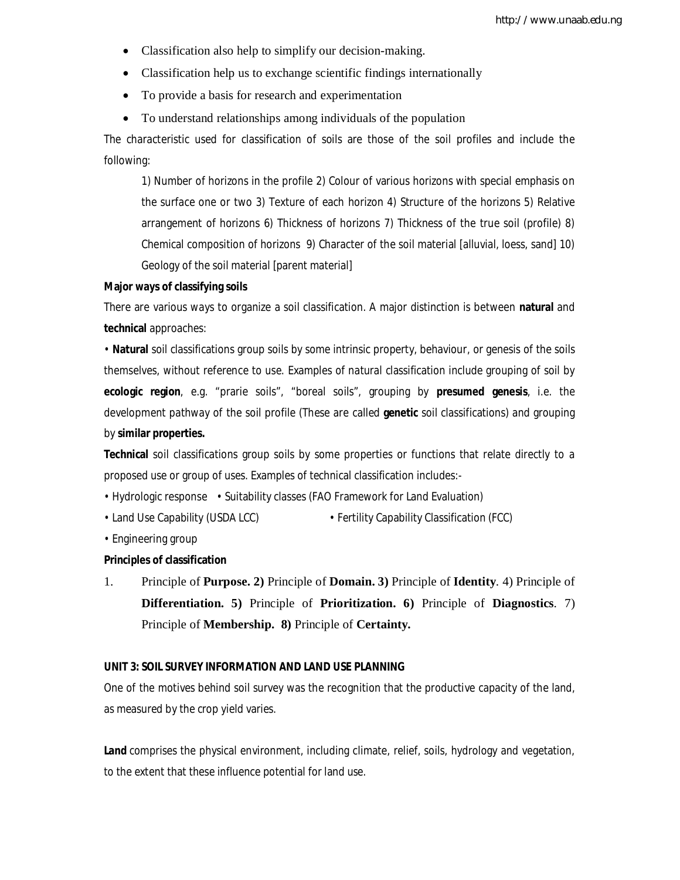- Classification also help to simplify our decision-making.
- Classification help us to exchange scientific findings internationally
- To provide a basis for research and experimentation
- To understand relationships among individuals of the population

The characteristic used for classification of soils are those of the soil profiles and include the following:

1) Number of horizons in the profile 2) Colour of various horizons with special emphasis on the surface one or two 3) Texture of each horizon 4) Structure of the horizons 5) Relative arrangement of horizons 6) Thickness of horizons 7) Thickness of the true soil (profile) 8) Chemical composition of horizons 9) Character of the soil material [alluvial, loess, sand] 10) Geology of the soil material [parent material]

#### **Major ways of classifying soils**

There are various ways to organize a soil classification. A major distinction is between **natural** and **technical** approaches:

*•* **Natural** soil classifications group soils by some intrinsic property, behaviour, or genesis of the soils themselves, without reference to use. Examples of natural classification include grouping of soil by **ecologic region**, e.g. "prarie soils", "boreal soils", grouping by **presumed genesis**, i.e. the development pathway of the soil profile (These are called **genetic** soil classifications) and grouping by **similar properties.**

**Technical** soil classifications group soils by some properties or functions that relate directly to a proposed use or group of uses. Examples of technical classification includes:-

- Hydrologic response Suitability classes (FAO Framework for Land Evaluation)
- Land Use Capability (USDA LCC) Fertility Capability Classification (FCC)
- Engineering group

#### **Principles of classification**

1. Principle of **Purpose. 2)** Principle of **Domain. 3)** Principle of **Identity**. 4) Principle of **Differentiation. 5)** Principle of **Prioritization. 6)** Principle of **Diagnostics**. 7) Principle of **Membership. 8)** Principle of **Certainty.** 

#### **UNIT 3: SOIL SURVEY INFORMATION AND LAND USE PLANNING**

One of the motives behind soil survey was the recognition that the productive capacity of the land, as measured by the crop yield varies.

Land comprises the physical environment, including climate, relief, soils, hydrology and vegetation, to the extent that these influence potential for land use.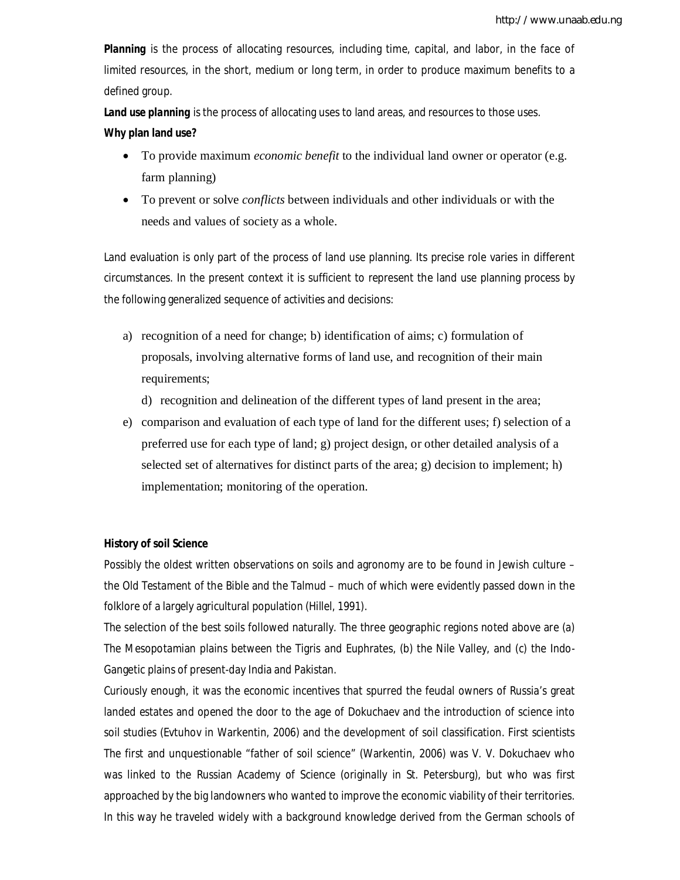*Planning* is the process of allocating resources, including time, capital, and labor, in the face of limited resources, in the short, medium or long term, in order to produce maximum *benefits* to a defined group.

*Land use planning* is the process of allocating uses to land areas, and resources to those uses. **Why plan land use?**

- To provide maximum *economic benefit* to the individual land owner or operator (e.g. farm planning)
- To prevent or solve *conflicts* between individuals and other individuals or with the needs and values of society as a whole.

Land evaluation is only part of the process of land use planning. Its precise role varies in different circumstances. In the present context it is sufficient to represent the land use planning process by the following generalized sequence of activities and decisions:

a) recognition of a need for change; b) identification of aims; c) formulation of proposals, involving alternative forms of land use, and recognition of their main requirements;

d) recognition and delineation of the different types of land present in the area;

e) comparison and evaluation of each type of land for the different uses; f) selection of a preferred use for each type of land; g) project design, or other detailed analysis of a selected set of alternatives for distinct parts of the area; g) decision to implement; h) implementation; monitoring of the operation.

## **History of soil Science**

Possibly the oldest written observations on soils and agronomy are to be found in Jewish culture – the Old Testament of the Bible and the Talmud – much of which were evidently passed down in the folklore of a largely agricultural population (Hillel, 1991).

The selection of the best soils followed naturally. The three geographic regions noted above are (a) The Mesopotamian plains between the Tigris and Euphrates, (b) the Nile Valley, and (c) the Indo-Gangetic plains of present-day India and Pakistan.

Curiously enough, it was the economic incentives that spurred the feudal owners of Russia's great landed estates and opened the door to the age of Dokuchaev and the introduction of science into soil studies (Evtuhov in Warkentin, 2006) and the development of soil classification. First scientists The first and unquestionable "father of soil science" (Warkentin, 2006) was V. V. Dokuchaev who was linked to the Russian Academy of Science (originally in St. Petersburg), but who was first approached by the big landowners who wanted to improve the economic viability of their territories. In this way he traveled widely with a background knowledge derived from the German schools of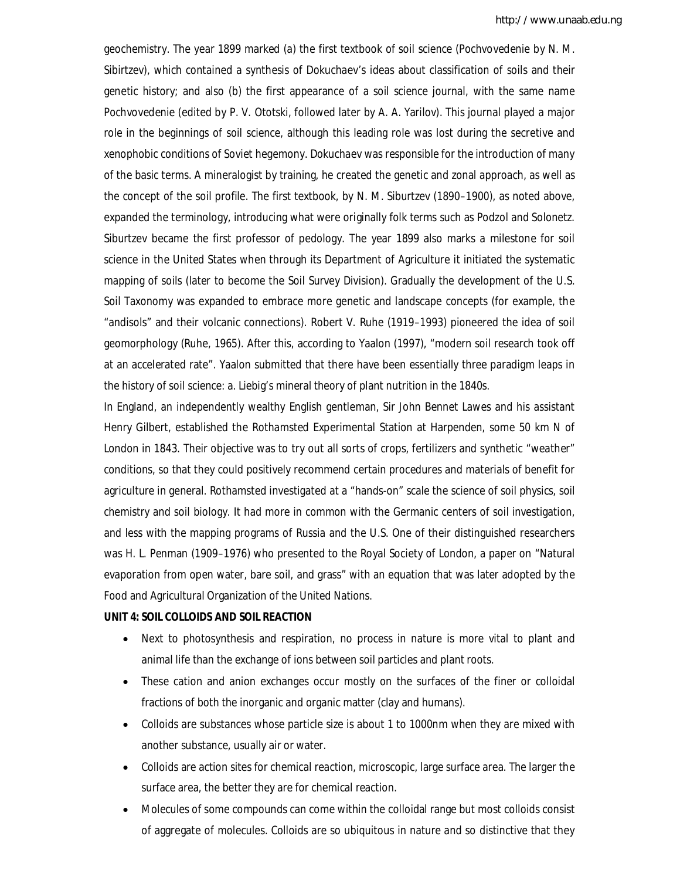geochemistry. The year 1899 marked (a) the first textbook of soil science (Pochvovedenie by N. M. Sibirtzev), which contained a synthesis of Dokuchaev's ideas about classification of soils and their genetic history; and also (b) the first appearance of a soil science journal, with the same name Pochvovedenie (edited by P. V. Ototski, followed later by A. A. Yarilov). This journal played a major role in the beginnings of soil science, although this leading role was lost during the secretive and xenophobic conditions of Soviet hegemony. Dokuchaev was responsible for the introduction of many of the basic terms. A mineralogist by training, he created the genetic and zonal approach, as well as the concept of the soil profile. The first textbook, by N. M. Siburtzev (1890–1900), as noted above, expanded the terminology, introducing what were originally folk terms such as Podzol and Solonetz. Siburtzev became the first professor of pedology. The year 1899 also marks a milestone for soil science in the United States when through its Department of Agriculture it initiated the systematic mapping of soils (later to become the Soil Survey Division). Gradually the development of the U.S. Soil Taxonomy was expanded to embrace more genetic and landscape concepts (for example, the "andisols" and their volcanic connections). Robert V. Ruhe (1919–1993) pioneered the idea of soil geomorphology (Ruhe, 1965). After this, according to Yaalon (1997), "modern soil research took off at an accelerated rate". Yaalon submitted that there have been essentially three paradigm leaps in the history of soil science: a. Liebig's mineral theory of plant nutrition in the 1840s.

In England, an independently wealthy English gentleman, Sir John Bennet Lawes and his assistant Henry Gilbert, established the Rothamsted Experimental Station at Harpenden, some 50 km N of London in 1843. Their objective was to try out all sorts of crops, fertilizers and synthetic "weather" conditions, so that they could positively recommend certain procedures and materials of benefit for agriculture in general. Rothamsted investigated at a "hands-on" scale the science of soil physics, soil chemistry and soil biology. It had more in common with the Germanic centers of soil investigation, and less with the mapping programs of Russia and the U.S. One of their distinguished researchers was H. L. Penman (1909–1976) who presented to the Royal Society of London, a paper on "Natural evaporation from open water, bare soil, and grass" with an equation that was later adopted by the Food and Agricultural Organization of the United Nations.

#### **UNIT 4: SOIL COLLOIDS AND SOIL REACTION**

- Next to photosynthesis and respiration, no process in nature is more vital to plant and animal life than the exchange of ions between soil particles and plant roots.
- These cation and anion exchanges occur mostly on the surfaces of the finer or colloidal fractions of both the inorganic and organic matter (clay and humans).
- Colloids are substances whose particle size is about 1 to 1000nm when they are mixed with another substance, usually air or water.
- Colloids are action sites for chemical reaction, microscopic, large surface area. The larger the surface area, the better they are for chemical reaction.
- Molecules of some compounds can come within the colloidal range but most colloids consist of aggregate of molecules. Colloids are so ubiquitous in nature and so distinctive that they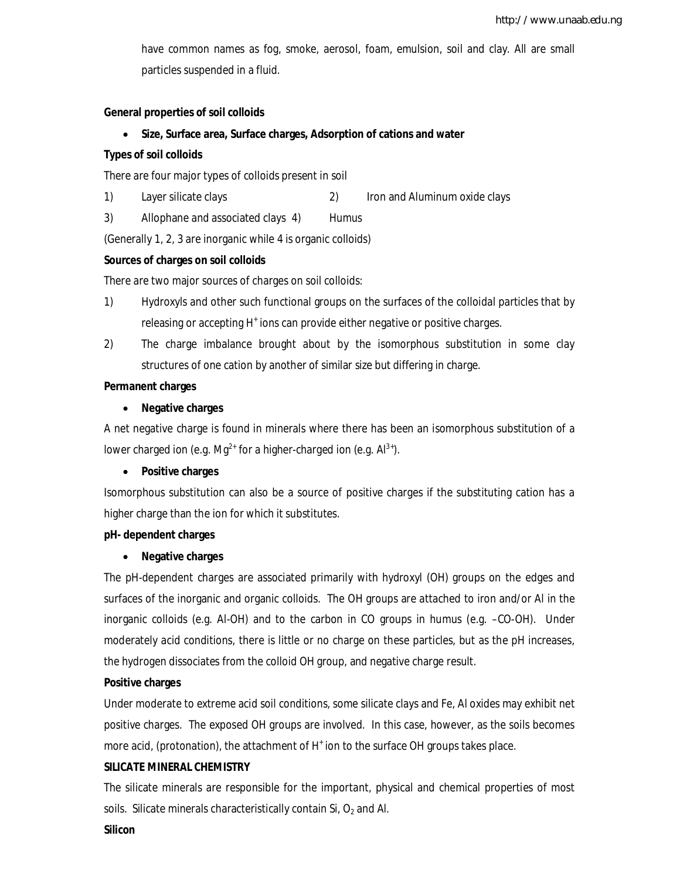have common names as fog, smoke, aerosol, foam, emulsion, soil and clay. All are small particles suspended in a fluid.

#### **General properties of soil colloids**

**Size, Surface area, Surface charges, Adsorption of cations and water**

## **Types of soil colloids**

There are four major types of colloids present in soil

- 1) Layer silicate clays 2) Iron and Aluminum oxide clays
- 3) Allophane and associated clays 4) Humus

(Generally 1, 2, 3 are inorganic while 4 is organic colloids)

## **Sources of charges on soil colloids**

There are two major sources of charges on soil colloids:

- 1) Hydroxyls and other such functional groups on the surfaces of the colloidal particles that by releasing or accepting H<sup>+</sup> ions can provide either negative or positive charges.
- 2) The charge imbalance brought about by the isomorphous substitution in some clay structures of one cation by another of similar size but differing in charge.

## **Permanent charges**

## **Negative charges**

A net negative charge is found in minerals where there has been an isomorphous substitution of a lower charged ion (e.g. Mg<sup>2+</sup> for a higher-charged ion (e.g.  $Al^{3+}$ ).

## **Positive charges**

Isomorphous substitution can also be a source of positive charges if the substituting cation has a higher charge than the ion for which it substitutes.

## **pH- dependent charges**

## **Negative charges**

The pH-dependent charges are associated primarily with hydroxyl (OH) groups on the edges and surfaces of the inorganic and organic colloids. The OH groups are attached to iron and/or Al in the inorganic colloids (e.g. Al-OH) and to the carbon in CO groups in humus (e.g. –CO-OH). Under moderately acid conditions, there is little or no charge on these particles, but as the pH increases, the hydrogen dissociates from the colloid OH group, and negative charge result.

## **Positive charges**

Under moderate to extreme acid soil conditions, some silicate clays and Fe, Al oxides may exhibit net positive charges. The exposed OH groups are involved. In this case, however, as the soils becomes more acid, (protonation), the attachment of H<sup>+</sup> ion to the surface OH groups takes place.

## **SILICATE MINERAL CHEMISTRY**

The silicate minerals are responsible for the important, physical and chemical properties of most soils. Silicate minerals characteristically contain  $Si$ ,  $O<sub>2</sub>$  and Al.

#### **Silicon**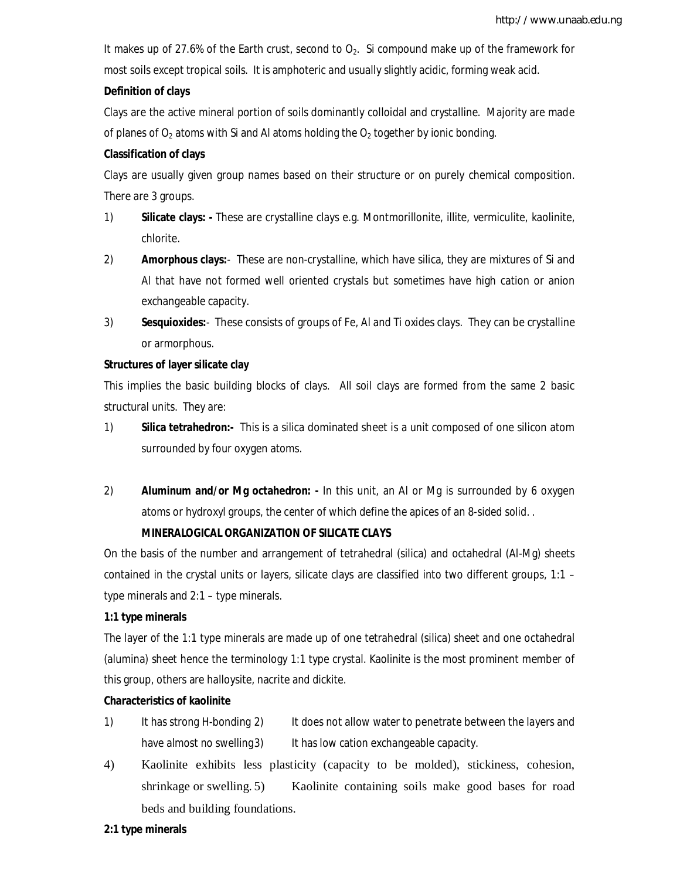It makes up of 27.6% of the Earth crust, second to  $O_2$ . Si compound make up of the framework for most soils except tropical soils. It is amphoteric and usually slightly acidic, forming weak acid.

## **Definition of clays**

Clays are the active mineral portion of soils dominantly colloidal and crystalline. Majority are made of planes of  $O<sub>2</sub>$  atoms with Si and Al atoms holding the  $O<sub>2</sub>$  together by ionic bonding.

## **Classification of clays**

Clays are usually given group names based on their structure or on purely chemical composition. There are 3 groups.

- 1) **Silicate clays: -** These are crystalline clays e.g. Montmorillonite, illite, vermiculite, kaolinite, chlorite.
- 2) **Amorphous clays:**-These are non-crystalline, which have silica, they are mixtures of Si and Al that have not formed well oriented crystals but sometimes have high cation or anion exchangeable capacity.
- 3) **Sesquioxides:**-These consists of groups of Fe, Al and Ti oxides clays. They can be crystalline or armorphous.

## **Structures of layer silicate clay**

This implies the basic building blocks of clays. All soil clays are formed from the same 2 basic structural units. They are:

- 1) **Silica tetrahedron:-** This is a silica dominated sheet is a unit composed of one silicon atom surrounded by four oxygen atoms.
- 2) **Aluminum and/or Mg octahedron: -** In this unit, an Al or Mg is surrounded by 6 oxygen atoms or hydroxyl groups, the center of which define the apices of an 8-sided solid. .

## **MINERALOGICAL ORGANIZATION OF SILICATE CLAYS**

On the basis of the number and arrangement of tetrahedral (silica) and octahedral (Al-Mg) sheets contained in the crystal units or layers, silicate clays are classified into two different groups, 1:1 – type minerals and 2:1 – type minerals.

## **1:1 type minerals**

The layer of the 1:1 type minerals are made up of one tetrahedral (silica) sheet and one octahedral (alumina) sheet hence the terminology 1:1 type crystal. Kaolinite is the most prominent member of this group, others are halloysite, nacrite and dickite.

## **Characteristics of kaolinite**

- 1) It has strong H-bonding 2) It does not allow water to penetrate between the layers and have almost no swelling 3) It has low cation exchangeable capacity.
- 4) Kaolinite exhibits less plasticity (capacity to be molded), stickiness, cohesion, shrinkage or swelling. 5) Kaolinite containing soils make good bases for road beds and building foundations.

## **2:1 type minerals**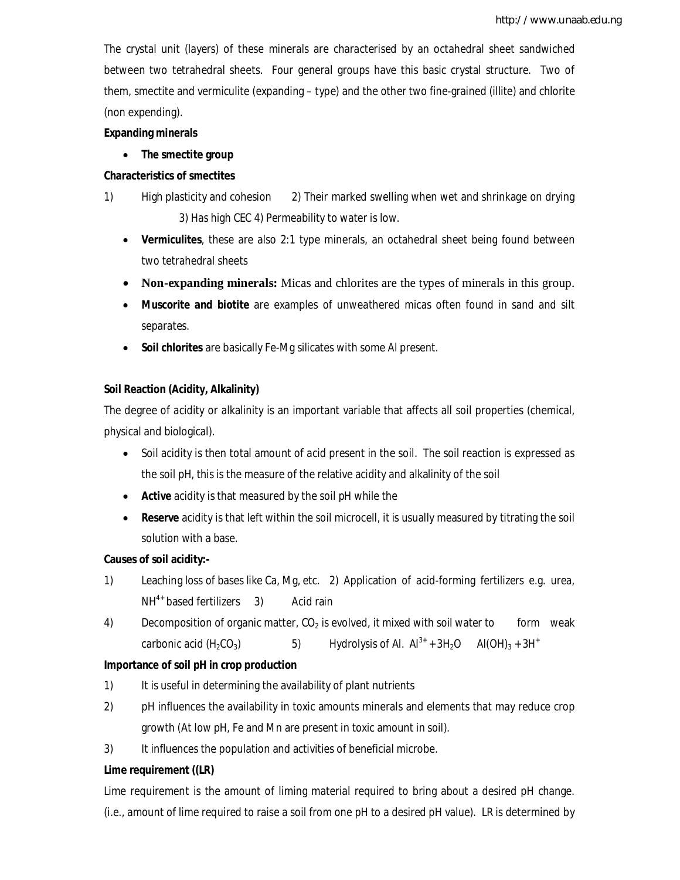The crystal unit (layers) of these minerals are characterised by an octahedral sheet sandwiched between two tetrahedral sheets. Four general groups have this basic crystal structure. Two of them, smectite and vermiculite (expanding – type) and the other two fine-grained (illite) and chlorite (non expending).

## **Expanding minerals**

## **The smectite group**

## **Characteristics of smectites**

- 1) High plasticity and cohesion 2) Their marked swelling when wet and shrinkage on drying 3) Has high CEC 4) Permeability to water is low.
	- **Vermiculites**, these are also 2:1 type minerals, an octahedral sheet being found between two tetrahedral sheets
	- **Non-expanding minerals:** Micas and chlorites are the types of minerals in this group.
	- **Muscorite and biotite** are examples of unweathered micas often found in sand and silt separates.
	- **Soil chlorites** are basically Fe-Mg silicates with some Al present.

## **Soil Reaction (Acidity, Alkalinity)**

The degree of acidity or alkalinity is an important variable that affects all soil properties (chemical, physical and biological).

- Soil acidity is then total amount of acid present in the soil. The soil reaction is expressed as the soil pH, this is the measure of the relative acidity and alkalinity of the soil
- **Active** acidity is that measured by the soil pH while the
- **Reserve** acidity is that left within the soil microcell, it is usually measured by titrating the soil solution with a base.

## **Causes of soil acidity:-**

- 1) Leaching loss of bases like Ca, Mg, etc. 2) Application of acid-forming fertilizers e.g. urea,  $NH<sup>4+</sup>$  based fertilizers 3) Acid rain
- 4) Decomposition of organic matter,  $CO<sub>2</sub>$  is evolved, it mixed with soil water to form weak carbonic acid (H<sub>2</sub>CO<sub>3</sub>) 5) Hydrolysis of Al.  $Al^{3+}$  + 3H<sub>2</sub>O Al(OH)<sub>3</sub> + 3H<sup>+</sup>

## **Importance of soil pH in crop production**

- 1) It is useful in determining the availability of plant nutrients
- 2) pH influences the availability in toxic amounts minerals and elements that may reduce crop growth (At low pH, Fe and Mn are present in toxic amount in soil).
- 3) It influences the population and activities of beneficial microbe.

## **Lime requirement ((LR)**

Lime requirement is the amount of liming material required to bring about a desired pH change. (i.e., amount of lime required to raise a soil from one pH to a desired pH value). LR is determined by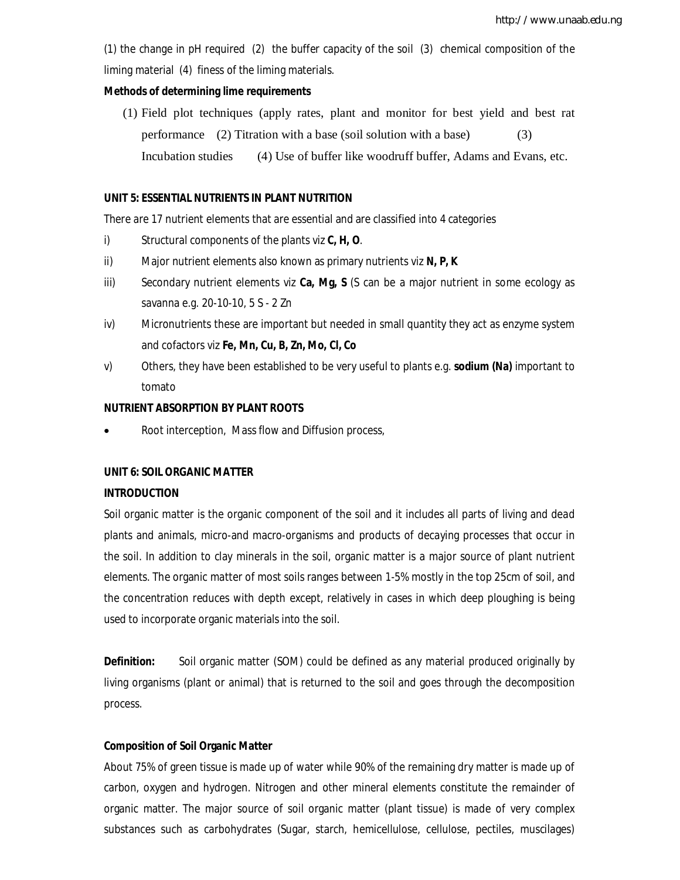(1) the change in pH required (2) the buffer capacity of the soil (3) chemical composition of the liming material (4) finess of the liming materials.

#### **Methods of determining lime requirements**

(1) Field plot techniques (apply rates, plant and monitor for best yield and best rat performance (2) Titration with a base (soil solution with a base) (3) Incubation studies (4) Use of buffer like woodruff buffer, Adams and Evans, etc.

#### **UNIT 5: ESSENTIAL NUTRIENTS IN PLANT NUTRITION**

There are 17 nutrient elements that are essential and are classified into 4 categories

- i) Structural components of the plants viz **C, H, O**.
- ii) Major nutrient elements also known as primary nutrients viz **N, P, K**
- iii) Secondary nutrient elements viz **Ca, Mg, S** (S can be a major nutrient in some ecology as savanna e.g. 20-10-10, 5 S - 2 Zn
- iv) Micronutrients these are important but needed in small quantity they act as enzyme system and cofactors viz **Fe, Mn, Cu, B, Zn, Mo, Cl, Co**
- v) Others, they have been established to be very useful to plants e.g. **sodium (Na)** important to tomato

## **NUTRIENT ABSORPTION BY PLANT ROOTS**

Root interception, Mass flow and Diffusion process,

#### **UNIT 6: SOIL ORGANIC MATTER**

#### **INTRODUCTION**

Soil organic matter is the organic component of the soil and it includes all parts of living and dead plants and animals, micro-and macro-organisms and products of decaying processes that occur in the soil. In addition to clay minerals in the soil, organic matter is a major source of plant nutrient elements. The organic matter of most soils ranges between 1-5% mostly in the top 25cm of soil, and the concentration reduces with depth except, relatively in cases in which deep ploughing is being used to incorporate organic materials into the soil.

**Definition:** Soil organic matter (SOM) could be defined as any material produced originally by living organisms (plant or animal) that is returned to the soil and goes through the decomposition process.

#### **Composition of Soil Organic Matter**

About 75% of green tissue is made up of water while 90% of the remaining dry matter is made up of carbon, oxygen and hydrogen. Nitrogen and other mineral elements constitute the remainder of organic matter. The major source of soil organic matter (plant tissue) is made of very complex substances such as carbohydrates (Sugar, starch, hemicellulose, cellulose, pectiles, muscilages)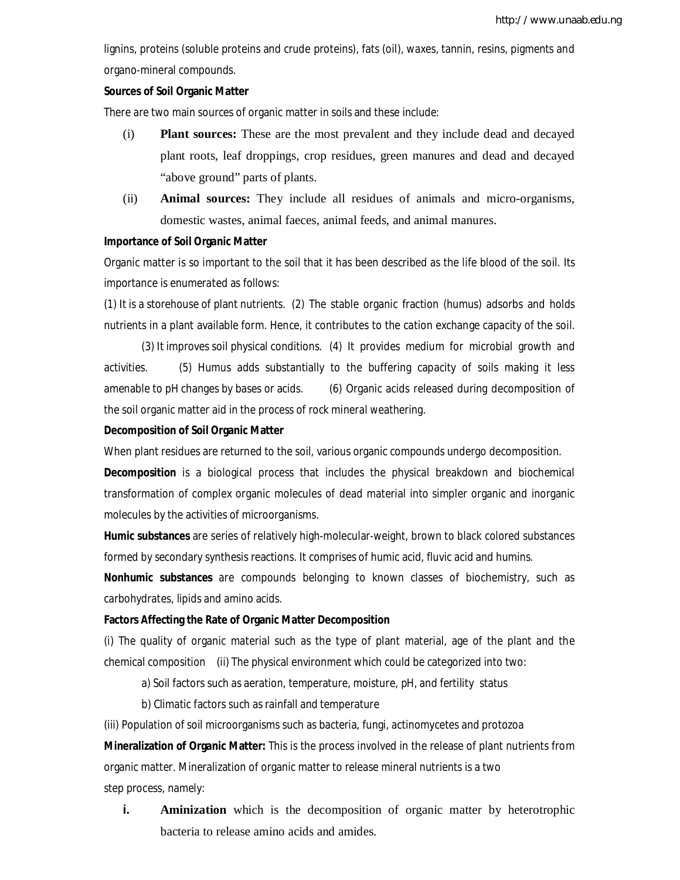lignins, proteins (soluble proteins and crude proteins), fats (oil), waxes, tannin, resins, pigments and organo-mineral compounds.

#### **Sources of Soil Organic Matter**

There are two main sources of organic matter in soils and these include:

- (i) **Plant sources:** These are the most prevalent and they include dead and decayed plant roots, leaf droppings, crop residues, green manures and dead and decayed "above ground" parts of plants.
- (ii) **Animal sources:** They include all residues of animals and micro-organisms, domestic wastes, animal faeces, animal feeds, and animal manures.

#### **Importance of Soil Organic Matter**

Organic matter is so important to the soil that it has been described as the life blood of the soil. Its importance is enumerated as follows:

(1) It is a storehouse of plant nutrients. (2) The stable organic fraction (humus) adsorbs and holds nutrients in a plant available form. Hence, it contributes to the cation exchange capacity of the soil.

(3) It improves soil physical conditions. (4) It provides medium for microbial growth and activities. (5) Humus adds substantially to the buffering capacity of soils making it less amenable to pH changes by bases or acids. (6) Organic acids released during decomposition of the soil organic matter aid in the process of rock mineral weathering.

#### **Decomposition of Soil Organic Matter**

When plant residues are returned to the soil, various organic compounds undergo decomposition.

**Decomposition** is a biological process that includes the physical breakdown and biochemical transformation of complex organic molecules of dead material into simpler organic and inorganic molecules by the activities of microorganisms.

**Humic substances** are series of relatively high-molecular-weight, brown to black colored substances formed by secondary synthesis reactions. It comprises of humic acid, fluvic acid and humins.

**Nonhumic substances** are compounds belonging to known classes of biochemistry, such as carbohydrates, lipids and amino acids.

#### **Factors Affecting the Rate of Organic Matter Decomposition**

(i) The quality of organic material such as the type of plant material, age of the plant and the chemical composition (ii) The physical environment which could be categorized into two:

a) Soil factors such as aeration, temperature, moisture, pH, and fertility status

b) Climatic factors such as rainfall and temperature

(iii) Population of soil microorganisms such as bacteria, fungi, actinomycetes and protozoa

**Mineralization of Organic Matter:** This is the process involved in the release of plant nutrients from organic matter. Mineralization of organic matter to release mineral nutrients is a two step process, namely:

**i. Aminization** which is the decomposition of organic matter by heterotrophic bacteria to release amino acids and amides.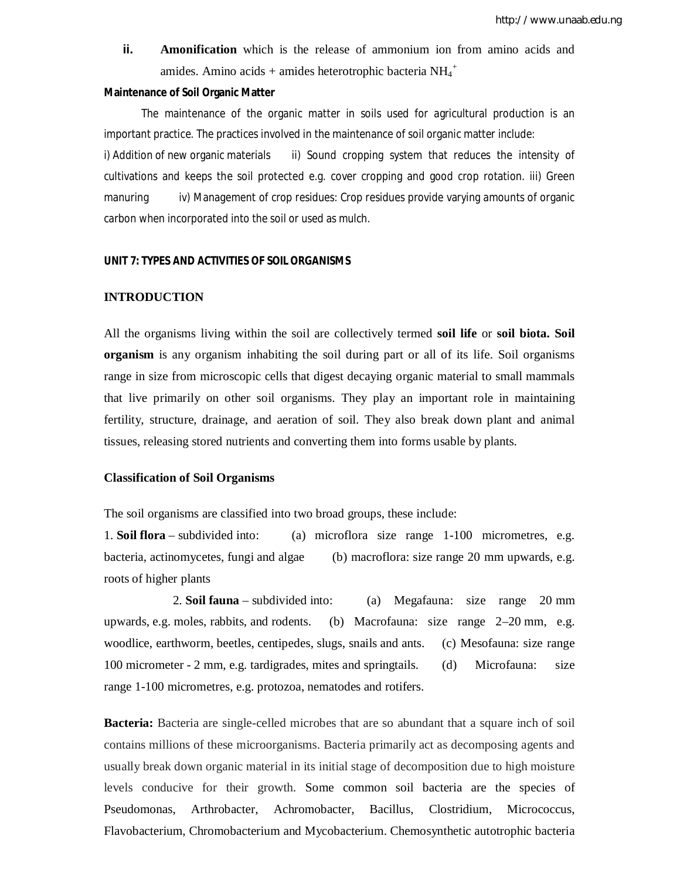**ii. Amonification** which is the release of ammonium ion from amino acids and amides. Amino acids + amides heterotrophic bacteria  $NH_4^+$ 

#### **Maintenance of Soil Organic Matter**

The maintenance of the organic matter in soils used for agricultural production is an important practice. The practices involved in the maintenance of soil organic matter include: i) Addition of new organic materials ii) Sound cropping system that reduces the intensity of cultivations and keeps the soil protected e.g. cover cropping and good crop rotation. iii) Green manuring iv) Management of crop residues: Crop residues provide varying amounts of organic carbon when incorporated into the soil or used as mulch.

#### **UNIT 7: TYPES AND ACTIVITIES OF SOIL ORGANISMS**

#### **INTRODUCTION**

All the organisms living within the soil are collectively termed **soil life** or **soil biota. Soil organism** is any organism inhabiting the soil during part or all of its life. Soil organisms range in size from microscopic cells that digest decaying organic material to small mammals that live primarily on other soil organisms. They play an important role in maintaining fertility, structure, drainage, and aeration of soil. They also break down plant and animal tissues, releasing stored nutrients and converting them into forms usable by plants.

#### **Classification of Soil Organisms**

The soil organisms are classified into two broad groups, these include:

1. **Soil flora** – subdivided into: (a) microflora size range 1-100 micrometres, e.g. bacteria, actinomycetes, fungi and algae (b) macroflora: size range 20 mm upwards, e.g. roots of higher plants

 2. **Soil fauna** – subdivided into: (a) Megafauna: size range 20 mm upwards, e.g. moles, rabbits, and rodents. (b) Macrofauna: size range 2–20 mm, e.g. woodlice, earthworm, beetles, centipedes, slugs, snails and ants. (c) Mesofauna: size range 100 micrometer - 2 mm, e.g. tardigrades, mites and springtails. (d) Microfauna: size range 1-100 micrometres, e.g. protozoa, nematodes and rotifers.

**Bacteria:** Bacteria are single-celled microbes that are so abundant that a square inch of soil contains millions of these microorganisms. Bacteria primarily act as decomposing agents and usually break down organic material in its initial stage of decomposition due to high moisture levels conducive for their growth. Some common soil bacteria are the species of Pseudomonas, Arthrobacter, Achromobacter, Bacillus, Clostridium, Micrococcus, Flavobacterium, Chromobacterium and Mycobacterium. Chemosynthetic autotrophic bacteria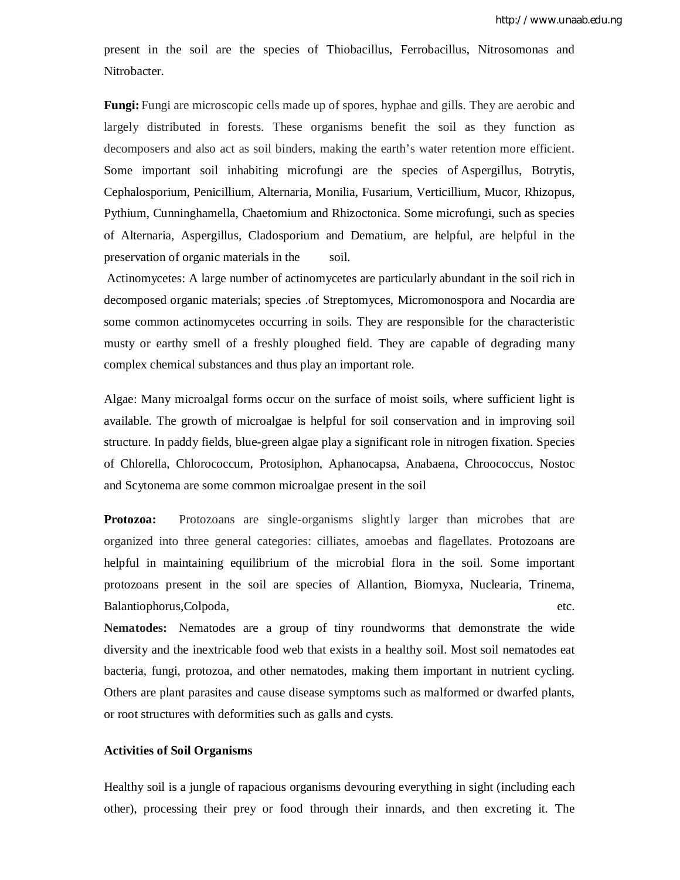present in the soil are the species of Thiobacillus, Ferrobacillus, Nitrosomonas and Nitrobacter.

**Fungi:** Fungi are microscopic cells made up of spores, hyphae and gills. They are aerobic and largely distributed in forests. These organisms benefit the soil as they function as decomposers and also act as soil binders, making the earth's water retention more efficient. Some important soil inhabiting microfungi are the species of Aspergillus, Botrytis, Cephalosporium, Penicillium, Alternaria, Monilia, Fusarium, Verticillium, Mucor, Rhizopus, Pythium, Cunninghamella, Chaetomium and Rhizoctonica. Some microfungi, such as species of Alternaria, Aspergillus, Cladosporium and Dematium, are helpful, are helpful in the preservation of organic materials in the soil.

Actinomycetes: A large number of actinomycetes are particularly abundant in the soil rich in decomposed organic materials; species .of Streptomyces, Micromonospora and Nocardia are some common actinomycetes occurring in soils. They are responsible for the characteristic musty or earthy smell of a freshly ploughed field. They are capable of degrading many complex chemical substances and thus play an important role.

Algae: Many microalgal forms occur on the surface of moist soils, where sufficient light is available. The growth of microalgae is helpful for soil conservation and in improving soil structure. In paddy fields, blue-green algae play a significant role in nitrogen fixation. Species of Chlorella, Chlorococcum, Protosiphon, Aphanocapsa, Anabaena, Chroococcus, Nostoc and Scytonema are some common microalgae present in the soil

**Protozoa:** Protozoans are single-organisms slightly larger than microbes that are organized into three general categories: cilliates, amoebas and flagellates. Protozoans are helpful in maintaining equilibrium of the microbial flora in the soil. Some important protozoans present in the soil are species of Allantion, Biomyxa, Nuclearia, Trinema, Balantiophorus,Colpoda, etc.

**Nematodes:** Nematodes are a group of tiny roundworms that demonstrate the wide diversity and the inextricable food web that exists in a healthy soil. Most soil nematodes eat bacteria, fungi, protozoa, and other nematodes, making them important in nutrient cycling. Others are plant parasites and cause disease symptoms such as malformed or dwarfed plants, or root structures with deformities such as galls and cysts.

#### **Activities of Soil Organisms**

Healthy soil is a jungle of rapacious organisms devouring everything in sight (including each other), processing their prey or food through their innards, and then excreting it. The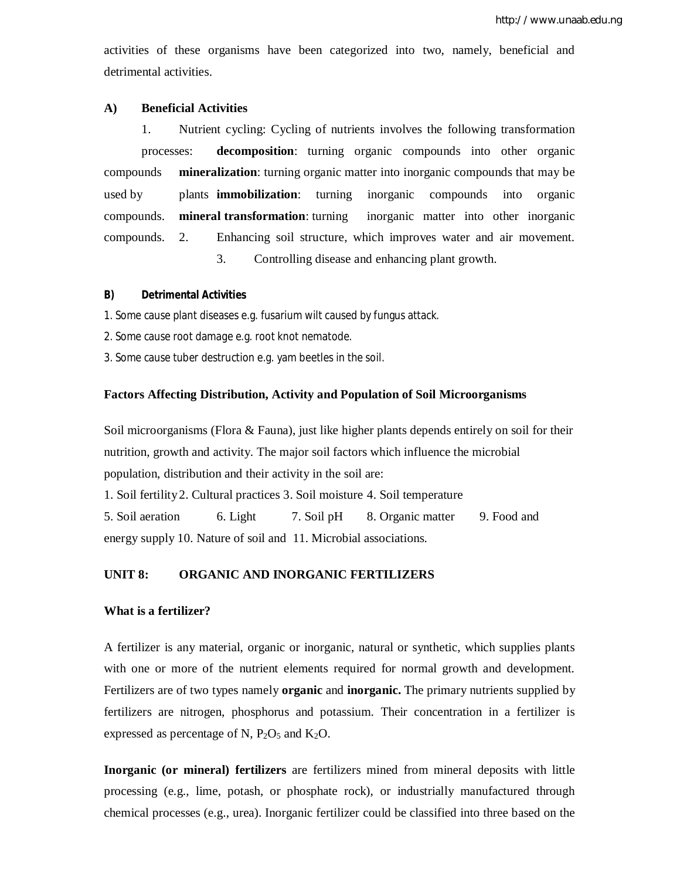activities of these organisms have been categorized into two, namely, beneficial and detrimental activities.

## **A) Beneficial Activities**

1. Nutrient cycling: Cycling of nutrients involves the following transformation processes: **decomposition**: turning organic compounds into other organic compounds **mineralization**: turning organic matter into inorganic compounds that may be used by plants **immobilization**: turning inorganic compounds into organic compounds. **mineral transformation**: turning inorganic matter into other inorganic compounds. 2. Enhancing soil structure, which improves water and air movement. 3. Controlling disease and enhancing plant growth.

## **B) Detrimental Activities**

1. Some cause plant diseases e.g. fusarium wilt caused by fungus attack.

2. Some cause root damage e.g. root knot nematode.

3. Some cause tuber destruction e.g. yam beetles in the soil.

## **Factors Affecting Distribution, Activity and Population of Soil Microorganisms**

Soil microorganisms (Flora  $&$  Fauna), just like higher plants depends entirely on soil for their nutrition, growth and activity. The major soil factors which influence the microbial population, distribution and their activity in the soil are:

1. Soil fertility2. Cultural practices 3. Soil moisture 4. Soil temperature

5. Soil aeration 6. Light 7. Soil pH 8. Organic matter 9. Food and energy supply 10. Nature of soil and 11. Microbial associations.

## **UNIT 8: ORGANIC AND INORGANIC FERTILIZERS**

## **What is a fertilizer?**

A fertilizer is any material, organic or inorganic, natural or synthetic, which supplies plants with one or more of the nutrient elements required for normal growth and development. Fertilizers are of two types namely **organic** and **inorganic.** The primary nutrients supplied by fertilizers are nitrogen, phosphorus and potassium. Their concentration in a fertilizer is expressed as percentage of N,  $P_2O_5$  and  $K_2O$ .

**Inorganic (or mineral) fertilizers** are fertilizers mined from mineral deposits with little processing (e.g., lime, potash, or phosphate rock), or industrially manufactured through chemical processes (e.g., urea). Inorganic fertilizer could be classified into three based on the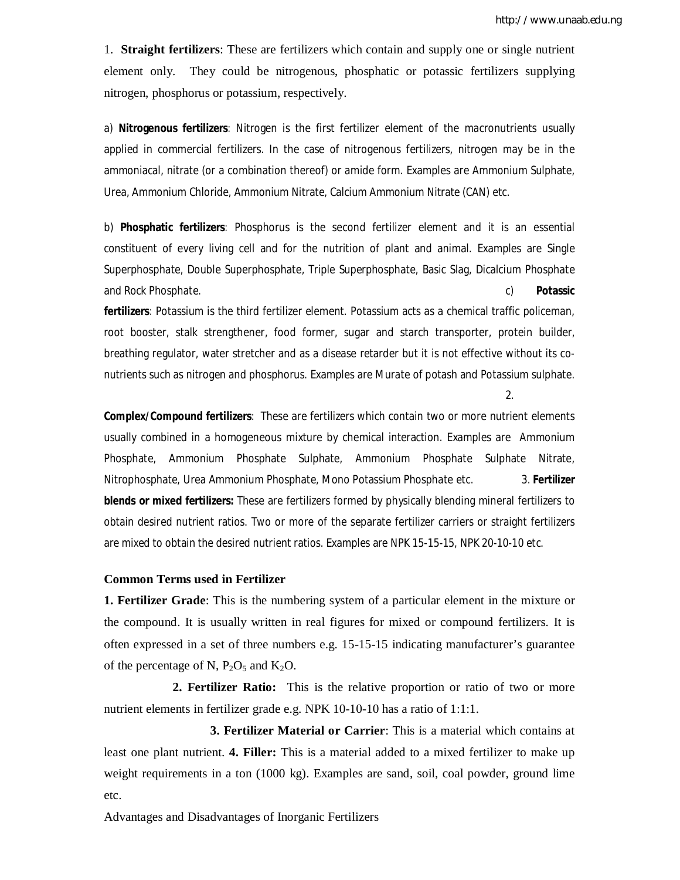1. **Straight fertilizers**: These are fertilizers which contain and supply one or single nutrient element only. They could be nitrogenous, phosphatic or potassic fertilizers supplying nitrogen, phosphorus or potassium, respectively.

a) **Nitrogenous fertilizers**: Nitrogen is the first fertilizer element of the macronutrients usually applied in commercial fertilizers. In the case of nitrogenous fertilizers, nitrogen may be in the ammoniacal, nitrate (or a combination thereof) or amide form. Examples are Ammonium Sulphate, Urea, Ammonium Chloride, Ammonium Nitrate, Calcium Ammonium Nitrate (CAN) etc.

b) **Phosphatic fertilizers**: Phosphorus is the second fertilizer element and it is an essential constituent of every living cell and for the nutrition of plant and animal. Examples are Single Superphosphate, Double Superphosphate, Triple Superphosphate, Basic Slag, Dicalcium Phosphate and Rock Phosphate. c) **Potassic** 

**fertilizers**: Potassium is the third fertilizer element. Potassium acts as a chemical traffic policeman, root booster, stalk strengthener, food former, sugar and starch transporter, protein builder, breathing regulator, water stretcher and as a disease retarder but it is not effective without its conutrients such as nitrogen and phosphorus. Examples are Murate of potash and Potassium sulphate.

2.

**Complex/Compound fertilizers**: These are fertilizers which contain two or more nutrient elements usually combined in a homogeneous mixture by chemical interaction. Examples are Ammonium Phosphate, Ammonium Phosphate Sulphate, Ammonium Phosphate Sulphate Nitrate, Nitrophosphate, Urea Ammonium Phosphate, Mono Potassium Phosphate etc. 3. **Fertilizer blends or mixed fertilizers:** These are fertilizers formed by physically blending mineral fertilizers to obtain desired nutrient ratios. Two or more of the separate fertilizer carriers or straight fertilizers are mixed to obtain the desired nutrient ratios. Examples are NPK 15-15-15, NPK 20-10-10 etc.

#### **Common Terms used in Fertilizer**

**1. Fertilizer Grade**: This is the numbering system of a particular element in the mixture or the compound. It is usually written in real figures for mixed or compound fertilizers. It is often expressed in a set of three numbers e.g. 15-15-15 indicating manufacturer's guarantee of the percentage of N,  $P_2O_5$  and  $K_2O$ .

 **2. Fertilizer Ratio:** This is the relative proportion or ratio of two or more nutrient elements in fertilizer grade e.g. NPK 10-10-10 has a ratio of 1:1:1.

 **3. Fertilizer Material or Carrier**: This is a material which contains at least one plant nutrient. **4. Filler:** This is a material added to a mixed fertilizer to make up weight requirements in a ton (1000 kg). Examples are sand, soil, coal powder, ground lime etc.

Advantages and Disadvantages of Inorganic Fertilizers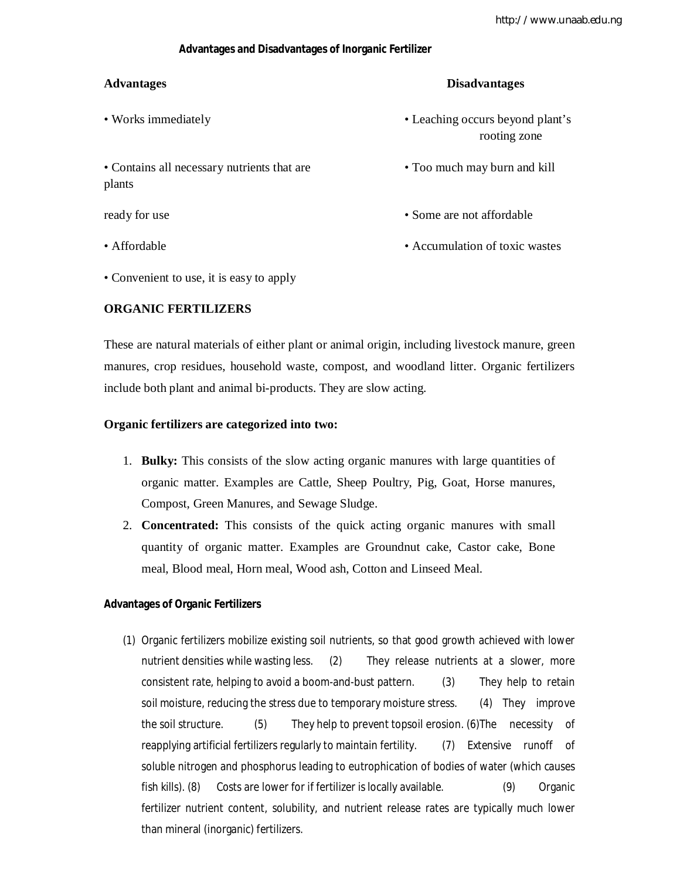## **Advantages and Disadvantages of Inorganic Fertilizer**

## **Advantages Disadvantages**

- Works immediately **•** Leaching occurs beyond plant's rooting zone • Contains all necessary nutrients that are • Too much may burn and kill plants ready for use **•** Some are not affordable **•** Some are not affordable • Affordable • Accumulation of toxic wastes
- Convenient to use, it is easy to apply

## **ORGANIC FERTILIZERS**

These are natural materials of either plant or animal origin, including livestock manure, green manures, crop residues, household waste, compost, and woodland litter. Organic fertilizers include both plant and animal bi-products. They are slow acting.

#### **Organic fertilizers are categorized into two:**

- 1. **Bulky:** This consists of the slow acting organic manures with large quantities of organic matter. Examples are Cattle, Sheep Poultry, Pig, Goat, Horse manures, Compost, Green Manures, and Sewage Sludge.
- 2. **Concentrated:** This consists of the quick acting organic manures with small quantity of organic matter. Examples are Groundnut cake, Castor cake, Bone meal, Blood meal, Horn meal, Wood ash, Cotton and Linseed Meal.

## **Advantages of Organic Fertilizers**

(1) Organic fertilizers mobilize existing soil nutrients, so that good growth achieved with lower nutrient densities while wasting less. (2) They release nutrients at a slower, more consistent rate, helping to avoid a boom-and-bust pattern. (3) They help to retain soil moisture, reducing the stress due to temporary moisture stress. (4) They improve the soil structure. (5) They help to prevent topsoil erosion. (6)The necessity of reapplying artificial fertilizers regularly to maintain fertility. (7) Extensive runoff of soluble nitrogen and phosphorus leading to eutrophication of bodies of water (which causes fish kills). (8) Costs are lower for if fertilizer is locally available. (9) Organic fertilizer nutrient content, solubility, and nutrient release rates are typically much lower than mineral (inorganic) fertilizers.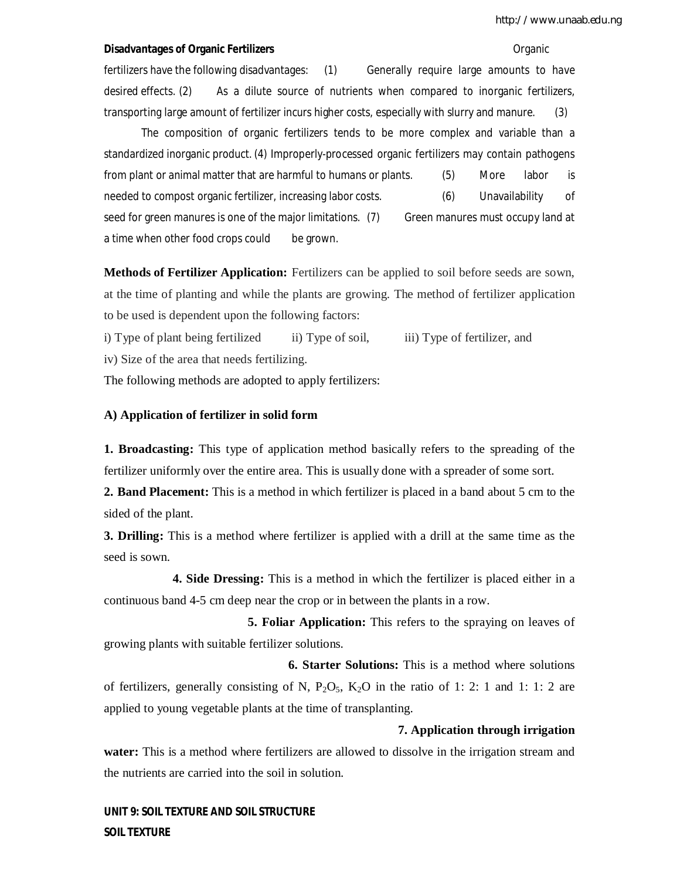#### **Disadvantages of Organic Fertilizers Community Community Community Community Community Community Community Community**

fertilizers have the following disadvantages: (1) Generally require large amounts to have desired effects. (2) As a dilute source of nutrients when compared to inorganic fertilizers, transporting large amount of fertilizer incurs higher costs, especially with slurry and manure. (3)

The composition of organic fertilizers tends to be more complex and variable than a standardized inorganic product. (4) Improperly-processed organic fertilizers may contain pathogens from plant or animal matter that are harmful to humans or plants. (5) More labor is needed to compost organic fertilizer, increasing labor costs. (6) Unavailability of seed for green manures is one of the major limitations. (7) Green manures must occupy land at a time when other food crops could be grown.

**Methods of Fertilizer Application:** Fertilizers can be applied to soil before seeds are sown, at the time of planting and while the plants are growing. The method of fertilizer application to be used is dependent upon the following factors:

i) Type of plant being fertilized ii) Type of soil, iii) Type of fertilizer, and

iv) Size of the area that needs fertilizing.

The following methods are adopted to apply fertilizers:

#### **A) Application of fertilizer in solid form**

**1. Broadcasting:** This type of application method basically refers to the spreading of the fertilizer uniformly over the entire area. This is usually done with a spreader of some sort.

**2. Band Placement:** This is a method in which fertilizer is placed in a band about 5 cm to the sided of the plant.

**3. Drilling:** This is a method where fertilizer is applied with a drill at the same time as the seed is sown.

 **4. Side Dressing:** This is a method in which the fertilizer is placed either in a continuous band 4-5 cm deep near the crop or in between the plants in a row.

 **5. Foliar Application:** This refers to the spraying on leaves of growing plants with suitable fertilizer solutions.

 **6. Starter Solutions:** This is a method where solutions of fertilizers, generally consisting of N,  $P_2O_5$ ,  $K_2O$  in the ratio of 1: 2: 1 and 1: 1: 2 are applied to young vegetable plants at the time of transplanting.

#### **7. Application through irrigation**

**water:** This is a method where fertilizers are allowed to dissolve in the irrigation stream and the nutrients are carried into the soil in solution.

**UNIT 9: SOIL TEXTURE AND SOIL STRUCTURE SOIL TEXTURE**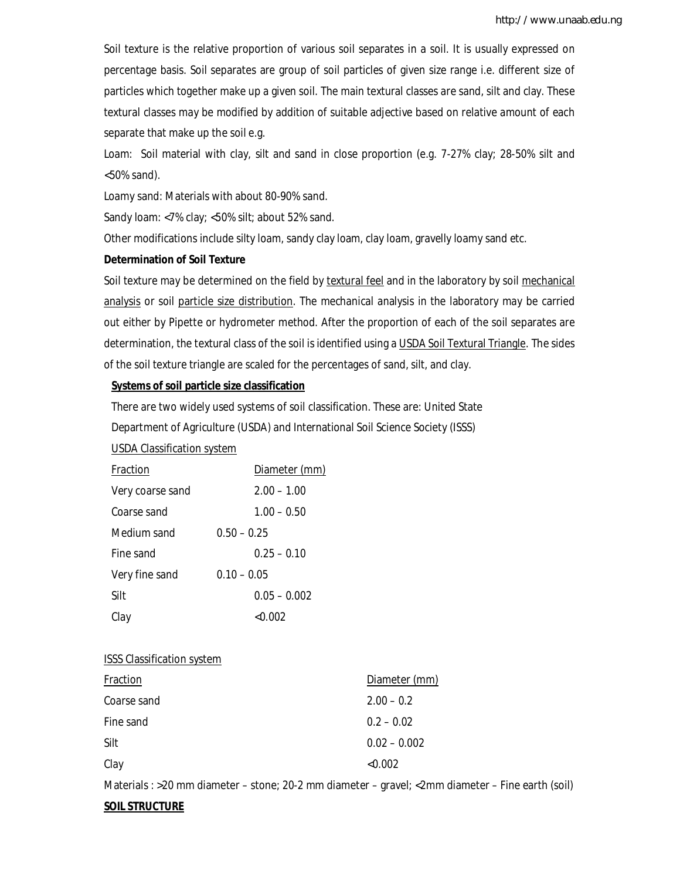Soil texture is the relative proportion of various soil separates in a soil. It is usually expressed on percentage basis. Soil separates are group of soil particles of given size range i.e. different size of particles which together make up a given soil. The main textural classes are sand, silt and clay. These textural classes may be modified by addition of suitable adjective based on relative amount of each separate that make up the soil e.g.

Loam: Soil material with clay, silt and sand in close proportion (e.g. 7-27% clay; 28-50% silt and <50% sand).

Loamy sand: Materials with about 80-90% sand.

Sandy loam: <7% clay; <50% silt; about 52% sand.

Other modifications include silty loam, sandy clay loam, clay loam, gravelly loamy sand etc.

#### **Determination of Soil Texture**

Soil texture may be determined on the field by textural feel and in the laboratory by soil mechanical analysis or soil particle size distribution. The mechanical analysis in the laboratory may be carried out either by Pipette or hydrometer method. After the proportion of each of the soil separates are determination, the textural class of the soil is identified using a USDA Soil Textural Triangle. The sides of the soil texture triangle are scaled for the percentages of sand, silt, and clay.

## **Systems of soil particle size classification**

There are two widely used systems of soil classification. These are: United State

Department of Agriculture (USDA) and International Soil Science Society (ISSS)

#### USDA Classification system

| Fraction         | Diameter (mm)  |
|------------------|----------------|
| Very coarse sand | $2.00 - 1.00$  |
| Coarse sand      | $1.00 - 0.50$  |
| Medium sand      | $0.50 - 0.25$  |
| Fine sand        | $0.25 - 0.10$  |
| Very fine sand   | $0.10 - 0.05$  |
| Silt             | $0.05 - 0.002$ |
| Clay             | < 0.002        |

#### ISSS Classification system

| Fraction    | Diameter (mm)  |
|-------------|----------------|
| Coarse sand | $2.00 - 0.2$   |
| Fine sand   | $0.2 - 0.02$   |
| Silt        | $0.02 - 0.002$ |
| Clay        | < 0.002        |

Materials : >20 mm diameter – stone; 20-2 mm diameter – gravel; <2mm diameter – Fine earth (soil)

#### **SOIL STRUCTURE**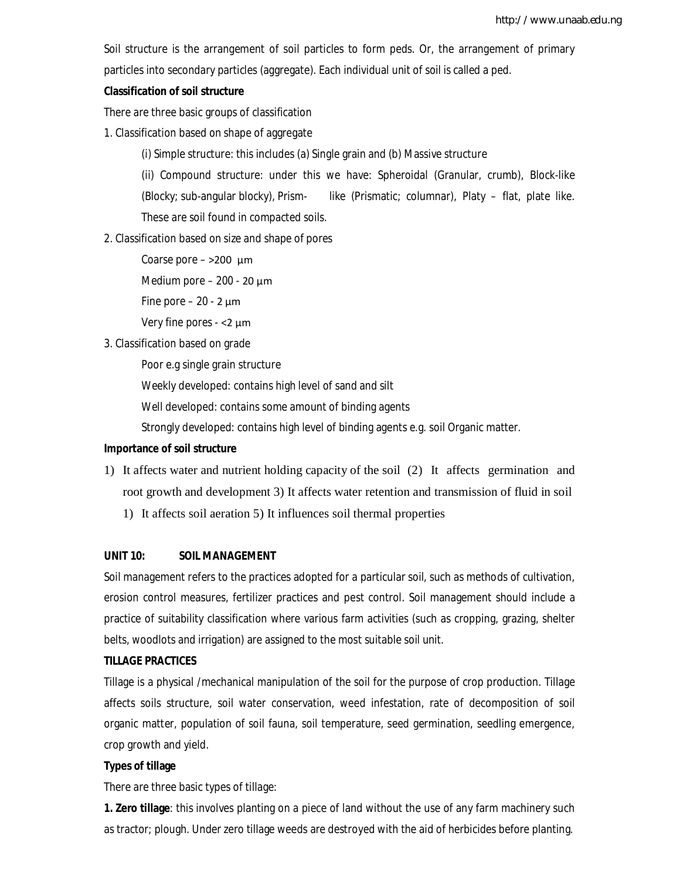Soil structure is the arrangement of soil particles to form peds. Or, the arrangement of primary particles into secondary particles (aggregate). Each individual unit of soil is called a ped.

## **Classification of soil structure**

There are three basic groups of classification

- 1. Classification based on shape of aggregate
	- (i) Simple structure: this includes (a) Single grain and (b) Massive structure

(ii) Compound structure: under this we have: Spheroidal (Granular, crumb), Block-like (Blocky; sub-angular blocky), Prism- like (Prismatic; columnar), Platy – flat, plate like. These are soil found in compacted soils.

- 2. Classification based on size and shape of pores
	- Coarse pore >200 µm

Medium pore  $-200 - 20 \mu m$ 

Fine pore  $-20 - 2 \mu m$ 

Very fine pores - <2 µm

3. Classification based on grade

Poor e.g single grain structure

Weekly developed: contains high level of sand and silt

Well developed: contains some amount of binding agents

Strongly developed: contains high level of binding agents e.g. soil Organic matter.

## **Importance of soil structure**

- 1) It affects water and nutrient holding capacity of the soil (2) It affects germination and root growth and development 3) It affects water retention and transmission of fluid in soil
	- 1) It affects soil aeration 5) It influences soil thermal properties

## **UNIT 10: SOIL MANAGEMENT**

Soil management refers to the practices adopted for a particular soil, such as methods of cultivation, erosion control measures, fertilizer practices and pest control. Soil management should include a practice of suitability classification where various farm activities (such as cropping, grazing, shelter belts, woodlots and irrigation) are assigned to the most suitable soil unit.

## **TILLAGE PRACTICES**

Tillage is a physical /mechanical manipulation of the soil for the purpose of crop production. Tillage affects soils structure, soil water conservation, weed infestation, rate of decomposition of soil organic matter, population of soil fauna, soil temperature, seed germination, seedling emergence, crop growth and yield.

## **Types of tillage**

There are three basic types of tillage:

**1. Zero tillage**: this involves planting on a piece of land without the use of any farm machinery such as tractor; plough. Under zero tillage weeds are destroyed with the aid of herbicides before planting.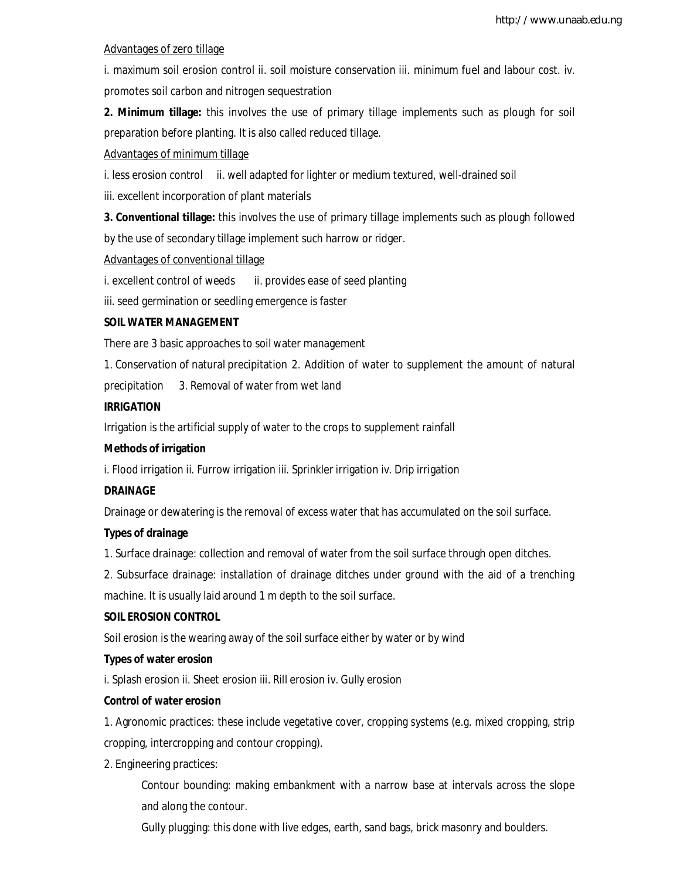## Advantages of zero tillage

i. maximum soil erosion control ii. soil moisture conservation iii. minimum fuel and labour cost. iv. promotes soil carbon and nitrogen sequestration

**2. Minimum tillage:** this involves the use of primary tillage implements such as plough for soil preparation before planting. It is also called reduced tillage.

## Advantages of minimum tillage

i. less erosion control ii. well adapted for lighter or medium textured, well-drained soil

iii. excellent incorporation of plant materials

**3. Conventional tillage:** this involves the use of primary tillage implements such as plough followed by the use of secondary tillage implement such harrow or ridger.

## Advantages of conventional tillage

i. excellent control of weeds ii. provides ease of seed planting

iii. seed germination or seedling emergence is faster

## **SOIL WATER MANAGEMENT**

There are 3 basic approaches to soil water management

1. Conservation of natural precipitation 2. Addition of water to supplement the amount of natural

precipitation 3. Removal of water from wet land

## **IRRIGATION**

Irrigation is the artificial supply of water to the crops to supplement rainfall

## **Methods of irrigation**

i. Flood irrigation ii. Furrow irrigation iii. Sprinkler irrigation iv. Drip irrigation

## **DRAINAGE**

Drainage or dewatering is the removal of excess water that has accumulated on the soil surface.

## **Types of drainage**

1. Surface drainage: collection and removal of water from the soil surface through open ditches.

2. Subsurface drainage: installation of drainage ditches under ground with the aid of a trenching machine. It is usually laid around 1 m depth to the soil surface.

## **SOIL EROSION CONTROL**

Soil erosion is the wearing away of the soil surface either by water or by wind

## **Types of water erosion**

i. Splash erosion ii. Sheet erosion iii. Rill erosion iv. Gully erosion

## **Control of water erosion**

1. Agronomic practices: these include vegetative cover, cropping systems (e.g. mixed cropping, strip cropping, intercropping and contour cropping).

2. Engineering practices:

Contour bounding: making embankment with a narrow base at intervals across the slope and along the contour.

Gully plugging: this done with live edges, earth, sand bags, brick masonry and boulders.